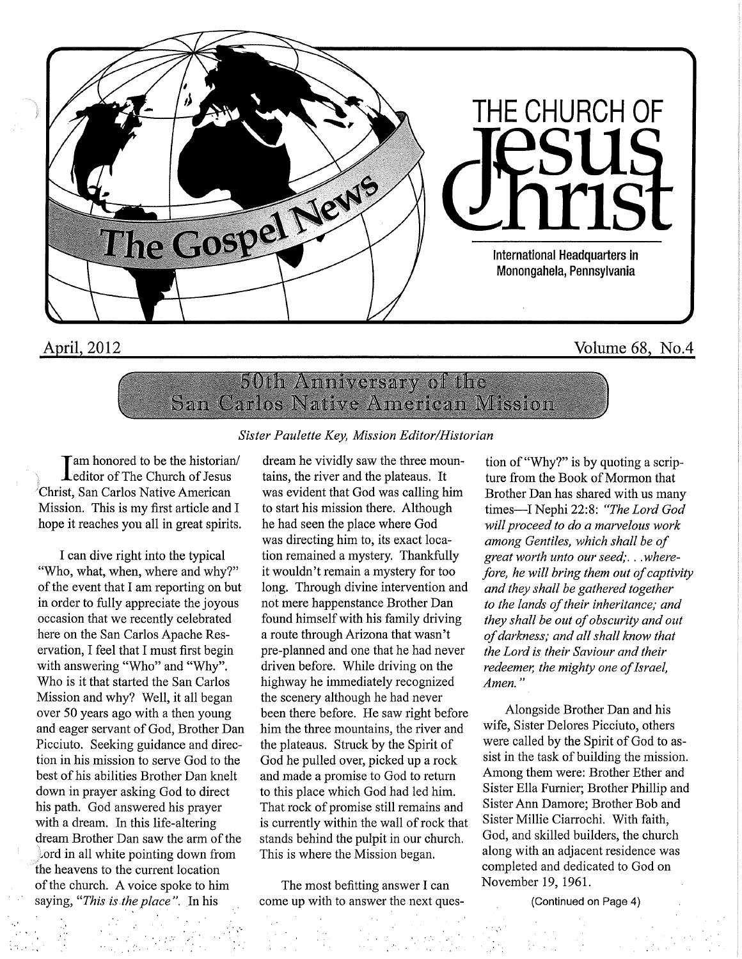

## April, 2012 Volume 68, No.4

## 50th Anniversary of the San Carlos Native American Mission

## Sister Paulette Key, Mission Editor/Historian

'am honored to be the historian/  $\mathbf L$ editor of The Church of Jesus Christ, San Carlos Native American Mission. This is my first article and I hope it reaches you all in great spirits.

I can dive right into the typical "Who, what, when, where and why?" of the event that I am reporting on but in order to fully appreciate the joyous occasion that we recently celebrated here on the San Carlos Apache Reservation, I feel that I must first begin with answering "Who" and "Why". Who is it that started the San Carlos Mission and why? Well, it all began over 50 years ago with a then young and eager servant of God, Brother Dan Picciuto. Seeking guidance and direction in his mission to serve God to the best of his abilities Brother Dan knelt down in prayer asking God to direct his path. God answered his prayer with a dream. In this life-altering dream Brother Dan saw the arm of the  $\lambda$  ord in all white pointing down from the heavens to the current location of the church. A voice spoke to him saying, "This is the place". In his

dream he vividly saw the three mountains, the river and the plateaus. It was evident that God was calling him to start his mission there. Although he had seen the place where God was directing him to, its exact location remained a mystery. Thankfully it wouldn't remain a mystery for too long. Through divine intervention and not mere happenstance Brother Dan found himself with his family driving a route through Arizona that wasn't pre-planned and one that he had never driven before. While driving on the highway he immediately recognized the scenery although he had never been there before. He saw right before him the three mountains, the river and the plateaus. Struck by the Spirit of God he pulled over, picked up a rock and made a promise to God to return to this place which God had led him. That rock of promise still remains and is currently within the wall of rock that stands behind the pulpit in our church. This is where the Mission began.

The most befitting answer I can come up with to answer the next ques-

tion of "Why?" is by quoting a scripture from the Book of Mormon that Brother Dan has shared with us many times—I Nephi 22:8: "The Lord God will proceed to do a marvelous work among Gentiles, which shall be of great worth unto our seed;. . .wherefore, he will bring them out of captivity and they shall be gathered together to the lands of their inheritance; and they shall be out of obscurity and out of darkness; and all shall know that the Lord is their Saviour and their redeemer, the mighty one of Israel, Amen."

Alongside Brother Dan and his wife. Sister Delores Picciuto, others were called by the Spirit of God to assist in the task of building the mission. Among them were: Brother Ether and Sister Ella Fumier; Brother Phillip and Sister Ann Damore; Brother Bob and Sister Millie Ciarrochi. With faith, God, and skilled builders, the church along with an adjacent residence was completed and dedicated to God on November 19, 1961.

(Continued on Page 4)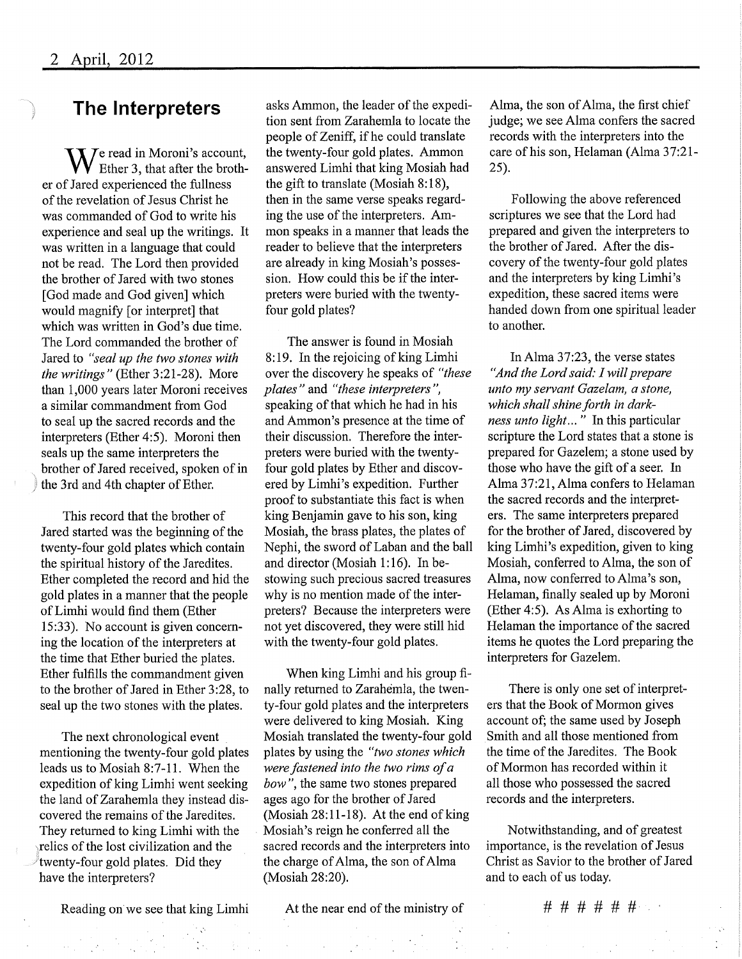## The Interpreters

 $\mathbf{W}$  read in Moroni's account,  $\bf{V}$  Ether 3, that after the brother of Jared experienced the fullness of the revelation of Jesus Christ he was commanded of God to write his experience and seal up the writings. It was written in a language that could not be read. The Lord then provided the brother of Jared with two stones [God made and God given] which would magnify [or interpret] that which was written in God's due time. The Lord commanded the brother of Jared to "seal up the two stones with the writings" (Ether 3:21-28). More than 1,000 years later Moroni receives a similar commandment from God to seal up the sacred records and the interpreters (Ether 4:5). Moroni then seals up the same interpreters the brother of Jared received, spoken of in the 3rd and 4th chapter of Ether.

This record that the brother of Jared started was the beginning of the twenty-four gold plates which contain the spiritual history of the Jaredites. Ether completed the record and hid the gold plates in a manner that the people ofLimhi would find them (Ether 15:33). No account is given concerning the location of the interpreters at the time that Ether buried the plates. Ether fulfills the commandment given to the brother of Jared in Ether 3:28, to seal up the two stones with the plates.

The next chronological event mentioning the twenty-four gold plates leads us to Mosiah 8:7-11 . When the expedition of king Limhi went seeking the land of Zarahemla they instead discovered the remains of the Jaredites. They returned to king Limhi with the relics of the lost civilization and the twenty-four gold plates. Did they have the interpreters?

Reading on we see that king Limhi At the near end of the ministry of  $\# \# \# \# \# \#$ 

asks Ammon, the leader of the expedition sent from Zarahemla to locate the people of Zeniff, if he could translate the twenty-four gold plates, Ammon answered Limhi that king Mosiah had the gift to translate (Mosiah 8:18), then in the same verse speaks regarding the use of the interpreters. Ammon speaks in a manner that leads the reader to believe that the interpreters are already in king Mosiah's possession. How could this be if the interpreters were buried with the twentyfour gold plates?

The answer is found in Mosiah 8:19. In the rejoicing of king Limhi over the discovery he speaks of "these plates" and "these interpreters", speaking of that which he had in his and Ammon's presence at the time of their discussion. Therefore the interprefers were buried with the twentyfour gold plates by Ether and discovered by Limhi's expedition. Further proof to substantiate this fact is when king Benjamin gave to his son, king Mosiah, the brass plates, the plates of Nephi, the sword of Laban and the ball and director (Mosiah 1:16). In bestowing such precious sacred treasures why is no mention made of the interprefers? Because the interpreters were not yet discovered, they were still hid with the twenty-four gold plates.

When king Limhi and his group finally returned to Zarahemla, the twenty-four gold plates and the interpreters were delivered to king Mosiah. King Mosiah translated the twenty-four gold plates by using the "two stones which were fastened into the two rims of a bow", the same two stones prepared ages ago for the brother of Jared (Mosiah 28:11-18). At the end of king Mosiah's reign he conferred all the sacred records and the interpreters into the charge of Alma, the son of Alma (Mosiah 28:20).

Alma, the son of Alma, the first chief judge; we see Alma confers the sacred records with the interpreters into the care of his son, Helaman (Alma 37:21- 25).

Following the above referenced scriptures we see that the Lord had prepared and given the interpreters to the brother of Jared. After the discovery of the twenty-four gold plates and the interpreters by king Limhi's expedition, these sacred items were handed down from one spiritual leader to another.

In Alma 37:23, the verse states "And the Lord said: I will prepare unto my servant Gazelam, a stone, which shall shine forth in darkness unto light..." In this particular scripture the Lord states that a stone is prepared for Gazelem; a stone used by those who have the gift of a seer. In Alma 37:21, Alma confers to Helaman the sacred records and the interpreters. The same interpreters prepared for the brother of Jared, discovered by king Limhi's expedition, given to king Mosiah, conferred to Alma, the son of Alma, now conferred to Alma's son, Helaman, finally sealed up by Moroni (Ether 4:5). As Alma is exhorting to Helaman the importance of the sacred items he quotes the Lord preparing the interpreters for Gazelem.

There is only one set of interpreters that the Book of Mormon gives account of; the same used by Joseph Smith and all those mentioned from the time of the Jaredites. The Book of Mormon has recorded within it all those who possessed the sacred records and the interpreters.

Notwithstanding, and of greatest importance, is the revelation of Jesus Christ as Savior to the brother of Jared and to each of us today.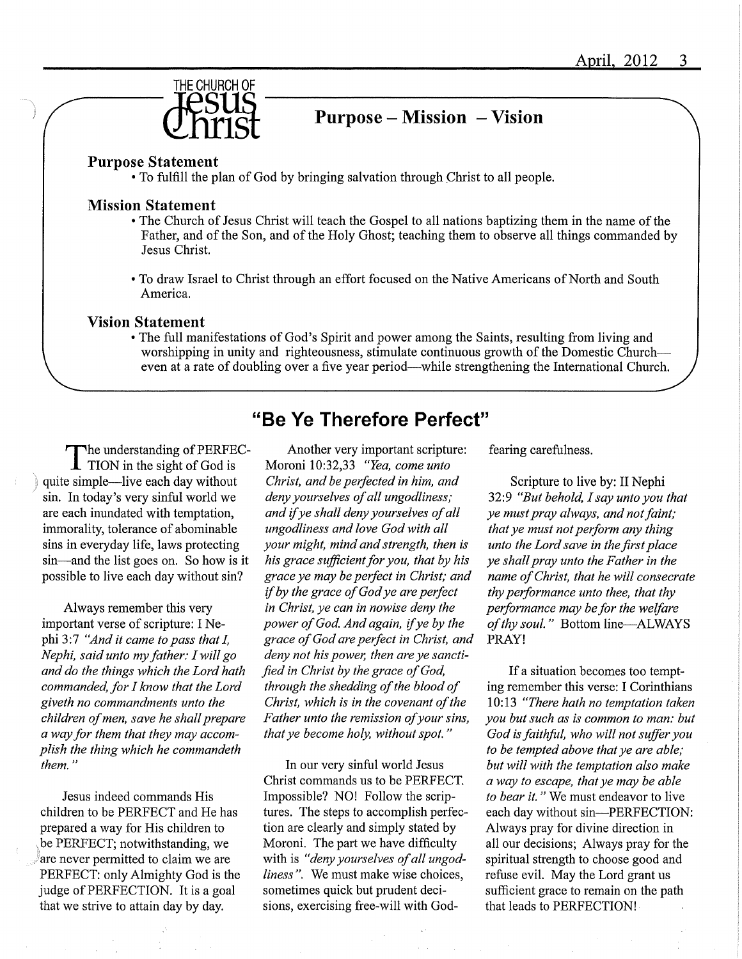

## $Purpose - Mission - Vision$

#### Purpose Statement

• To fulfill the plan of God by bringing salvation through Christ to all people.

## Mission Statement

- The Church of Jesus Christ will teach the Gospel to all nations baptizing them in the name of the Father, and of the Son, and of the Holy Ghost; teaching them to observe all things commanded by Jesus Christ.
- To draw Israel to Christ through an effort focused on the Native Americans of North and South America,

## Vision Statement

• The full manifestations of God's Spirit and power among the Saints, resulting from living and worshipping in unity and righteousness, stimulate continuous growth of the Domestic Church-even at a rate of doubling over a five year period—while strengthening the International Church.

^he understanding ofPERFEC- $\blacksquare$  TION in the sight of God is quite simple—live each day without sin. In today's very sinful world we are each inundated with temptation, immorality, tolerance of abominable sins in everyday life, laws protecting sin—and the list goes on. So how is it possible to live each day without sin?

Always remember this very important verse of scripture: I Nephi 3:7 "And it came to pass that I, Nephi, said unto my father:  $I$  will go and do the things which the Lord hath commanded, for I know that the Lord giveth no commandments unto the children of men, save he shall prepare a way for them that they may accomplish the thing which he commandeth them. "

Jesus indeed commands His children to be PERFECT and He has prepared a way for His children to be PERFECT; notwithstanding, we are never permitted to claim we are PERFECT: only Almighty God is the judge of PERFECTION. It is a goal that we strive to attain day by day.

Another very important scripture: Moroni 10:32,33 "Yea, come unto Christ, and be perfected in him, and deny yourselves of all ungodliness; and if ye shall deny yourselves of all nngodliness and love God with all your might, mind and strength, then is his grace sufficient for you, that by his grace ye may be perfect in Christ; and if by the grace of God ye are perfect in Christ, ye can in nowise deny the power of God. And again, if ye by the grace of God are perfect in Christ, and deny not his power, then are ye sanctified in Christ by the grace of God, through the shedding of the blood of Christ, which is in the covenant of the Father unto the remission of your sins, that ye become holy, without spot. "

"Be Ye Therefore Perfect"

In our very sinful world Jesus Christ commands us to be PERFECT. Impossible? NO! Follow the scriptures. The steps to accomplish perfection are clearly and simply stated by Moroni. The part we have difficulty with is "deny yourselves of all ungodliness". We must make wise choices, sometimes quick but prudent decisions, exercising free-will with Godfearing carefulness.

Scripture to live by: II Nephi 32:9 "But behold,  $I$  say unto you that ye must pray always, and not faint; that ye must not perform any thing unto the Lord save in the first place ye shall pray unto the Father in the name of Christ, that he will consecrate thy performance unto thee, that thy performance may be for the welfare of thy soul." Bottom line—ALWAYS PRAY!

If a situation becomes too tempting remember this verse: I Corinthians 10:13 "There hath no temptation taken you but such as is common to man: but God is faithful, who will not suffer you to be tempted above that ye are able; but will with the temptation also make a way to escape, that ye may be able to bear it." We must endeavor to live each day without sin—PERFECTION: Always pray for divine direction in all our decisions; Always pray for the spiritual strength to choose good and refuse evil. May the Lord grant us sufficient grace to remain on the path that leads to PERFECTION!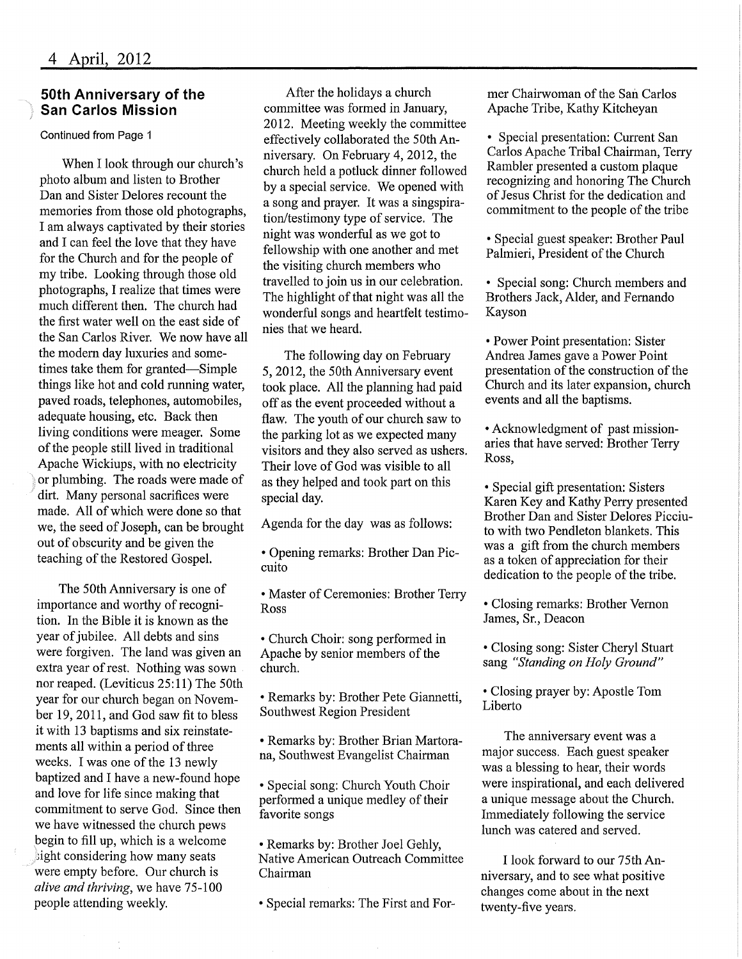## 50th Anniversary of the San Carlos Mission

Continued from Page 1

When I look through our church's photo album and listen to Brother Dan and Sister Delores recount the memories from those old photographs, I am always captivated by their stories and I can feel the love that they have for the Church and for the people of my tribe. Looking through those old photographs, I realize that times were much different then. The church had the first water well on the east side of the San Carlos River. We now have all the modem day luxuries and sometimes take them for granted—Simple things like hot and cold running water, paved roads, telephones, automobiles, adequate housing, etc. Back then living conditions were meager. Some of the people still lived in traditional Apache Wickiups, with no electricity or plumbing. The roads were made of dirt. Many personal sacrifices were made. All of which were done so that we, the seed of Joseph, can be brought out of obscurity and be given the teaching of the Restored Gospel.

The 50th Anniversary is one of importance and worthy of recognition. In the Bible it is known as the year of jubilee. All debts and sins were forgiven. The land was given an extra year of rest. Nothing was sown nor reaped. (Leviticus 25:11) The 50th year for our church began on November 19, 2011, and God saw fit to bless it with 13 baptisms and six reinstatements all within a period of three weeks. I was one of the 13 newly baptized and I have a new-found hope and love for life since making that commitment to serve God. Since then we have witnessed the church pews begin to fill up, which is a welcome  $\frac{1}{2}$ ight considering how many seats were empty before. Our church is alive and thriving, we have 75-100 people attending weekly.

After the holidays a church committee was formed in January, 2012. Meeting weekly the committee effectively collaborated the 50th Anniversary. On February 4, 2012, the church held a potluck dinner followed by a special service. We opened with a song and prayer. It was a singspiration/testimony type of service. The night was wonderful as we got to fellowship with one another and met the visiting church members who travelled to join us in our celebration, The highlight of that night was all the wonderful songs and heartfelt testimonies that we heard.

The following day on February 5, 2012, the 50th Anniversary event took place. All the planning had paid off as the event proceeded without a flaw. The youth of our church saw to the parking lot as we expected many visitors and they also served as ushers. Their love of God was visible to all as they helped and took part on this special day.

Agenda for the day was as follows:

• Opening remarks: Brother Dan Piccuito

• Master of Ceremonies: Brother Terry Ross

• Church Choir: song performed in Apache by senior members of the church.

• Remarks by: Brother Pete Giannetti, Southwest Region President

• Remarks by: Brother Brian Martorana. Southwest Evangelist Chairman

• Special song: Church Youth Choir performed a unique medley of their favorite songs

• Remarks by: Brother Joel Gehly, Native American Outreach Committee Chairman

• Special remarks: The First and For-

mer Chairwoman of the San Carlos Apache Tribe, Kathy Kitcheyan

• Special presentation: Current San Carlos Apache Tribal Chairman, Terry Rambler presented a custom plaque recognizing and honoring The Church of Jesus Christ for the dedication and commitment to the people of the tribe

• Special guest speaker: Brother Paul Palmieri, President of the Church

• Special song: Church members and Brothers Jack, Alder, and Fernando Kayson

• Power Point presentation: Sister Andrea James gave a Power Point presentation of the construction of the Church and its later expansion, church events and all the baptisms.

• Acknowledgment of past missionaries that have served: Brother Terry Ross,

• Special gift presentation: Sisters Karen Key and Kathy Perry presented Brother Dan and Sister Delores Picciuto with two Pendleton blankets. This was a gift from the church members as a token of appreciation for their dedication to the people of the tribe.

• Closing remarks: Brother Vemon James, Sr., Deacon

• Closing song: Sister Cheryl Stuart sang "Standing on Holy Ground"

• Closing prayer by: Apostle Tom Liberto

The anniversary event was a major success. Each guest speaker was a blessing to hear, their words were inspirational, and each delivered a unique message about the Church. Immediately following the service lunch was catered and served.

I look forward to our 75th Anniversary, and to see what positive changes come about in the next twenty-five years.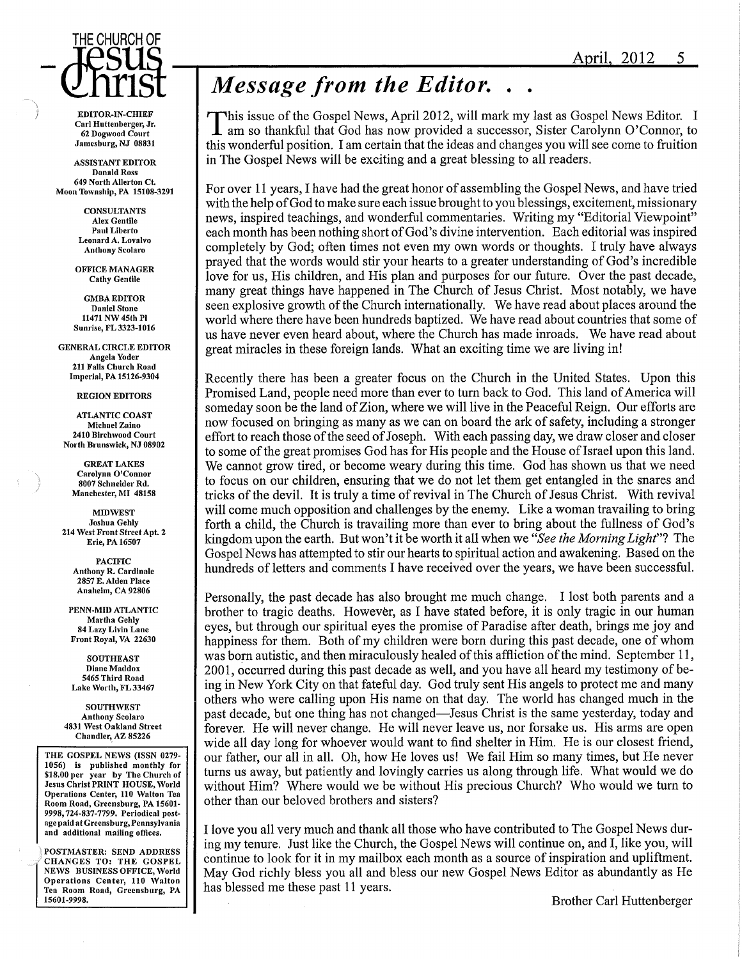# THE CHURCH OF

EDITOR-IN-CHIEF Carl Huttenberger, Jr. 62 Dogwood Court Jamesburg, NJ 08831

ASSISTANT EDITOR Donald Ross 649 North Allerton Ct. Moon Township, PA 15108-3291

> **CONSULTANTS** AIex Gentile Paul Liberto Leonard A. Lovalvo Anthony Scolaro

OFFICE MANAGER Cathy Gentile

GMBA EDITOR Daniel Stone 11471 NW 45th PI Sunrise, FL 3323-1016

GENERAL CIRCLE EDITOR Angela Yoder 211 Falls Church Road Imperial, PA 15126-9304

REGION EDITORS

ATLANTIC COAST Michael Zaino 2410 Birchwood Court North Brunswick, NJ 08902

GREAT LAKES Carolynn O'Connor 8007 Schneider Rd. Manchester, MI 48158

**MIDWEST** Joshua Gehly 214 West Front Street Apt. 2 Erie, PA 16507

PACIFIC Anthony R. Cardinale 2857 E.AIden Place Anaheim,CA 92806

PENN-MID ATLANTIC Martha Gehly 84 Lazy Livin Lane Front Royal, VA 22630

**SOUTHEAST** Diane Maddox 5465 Third Road Lake Worth, FL 33467

**SOUTHWEST** Anthony Scolaro 4831 West Oakland Street Chandler, AZ 85226

THE GOSPEL NEWS (ISSN 0279- 1056) is published monthly for \$18.00 per year by The Church of Jesus Christ PRINT HOUSE, World Operations Center, 110 Walton Tea Room Road, Greensburg, PA 15601- 9998,724-837-7799. Periodical postage paid at Greensburg, Pennsylvania and additional mailing offices.

POSTMASTER; SEND ADDRESS CHANGES TO: THE GOSPEL NEWS BUSINESS OFFICE, World Operations Center, 110 Walton Tea Room Road, Greensburg, PA 15601-9998.

# Message from the Editor..

'his issue of the Gospel News, April 2012, will mark my last as Gospel News Editor. I am so thankful that God has now provided a successor, Sister Carolynn 0'Connor, to this wonderful position. I am certain that the ideas and changes you will see come to fruition in The Gospel News will be exciting and a great blessing to all readers.

For over 11 years, I have had the great honor of assembling the Gospel News, and have tried with the help of God to make sure each issue brought to you blessings, excitement, missionary news, inspired teachings, and wonderful commentaries. Writing my "Editorial Viewpoint" each month has been nothing short of God's divine intervention. Each editorial was inspired completely by God; often times not even my own words or thoughts. I truly have always prayed that the words would stir your hearts to a greater understanding of God's incredible love for us, His children, and His plan and purposes for our future. Over the past decade, many great things have happened in The Church of Jesus Christ. Most notably, we have seen explosive growth of the Church internationally. We have read about places around the world where there have been hundreds baptized. We have read about countries that some of us have never even heard about, where the Church has made inroads. We have read about great miracles in these foreign lands. What an exciting time we are living in!

Recently there has been a greater focus on the Church in the United States. Upon this Promised Land, people need more than ever to turn back to God. This land of America will someday soon be the land of Zion, where we will live in the Peaceful Reign. Our efforts are now focused on bringing as many as we can on board the ark of safety, including a stronger effort to reach those of the seed of Joseph. With each passing day, we draw closer and closer to some of the great promises God has for His people and the House of Israel upon this land. We cannot grow tired, or become weary during this time. God has shown us that we need to focus on our children, ensuring that we do not let them get entangled in the snares and tricks of the devil. It is truly a time of revival in The Church of Jesus Christ. With revival will come much opposition and challenges by the enemy. Like a woman travailing to bring forth a child, the Church is travailing more than ever to bring about the fullness of God's kingdom upon the earth. But won't it be worth it all when we "See the Morning Light"? The Gospel News has attempted to stir our hearts to spiritual action and awakening. Based on the hundreds of letters and comments I have received over the years, we have been successful.

Personally, the past decade has also brought me much change. I lost both parents and a brother to tragic deaths. However, as I have stated before, it is only tragic in our human eyes, but through our spiritual eyes the promise of Paradise after death, brings me joy and happiness for them. Both of my children were born during this past decade, one of whom was born autistic, and then miraculously healed of this affliction of the mind. September 11, 2001, occurred during this past decade as well, and you have all heard my testimony ofbeing in New York City on that fateful day. God truly sent His angels to protect me and many others who were calling upon His name on that day. The world has changed much in the past decade, but one thing has not changed—Jesus Christ is the same yesterday, today and forever. He will never change. He will never leave us, nor forsake us. His arms are open wide all day long for whoever would want to find shelter in Him. He is our closest friend, our father, our all in all. Oh, how He loves us! We fail Him so many times, but He never turns us away, but patiently and lovingly carries us along through life. What would we do without Him? Where would we be without His precious Church? Who would we turn to other than our beloved brothers and sisters?

I love you all very much and thank all those who have contributed to The Gospel News during my tenure. Just like the Church, the Gospel News will continue on, and I, like you, will continue to look for it in my mailbox each month as a source of inspiration and upliftment. May God richly bless you all and bless our new Gospel News Editor as abundantly as He has blessed me these past 11 years.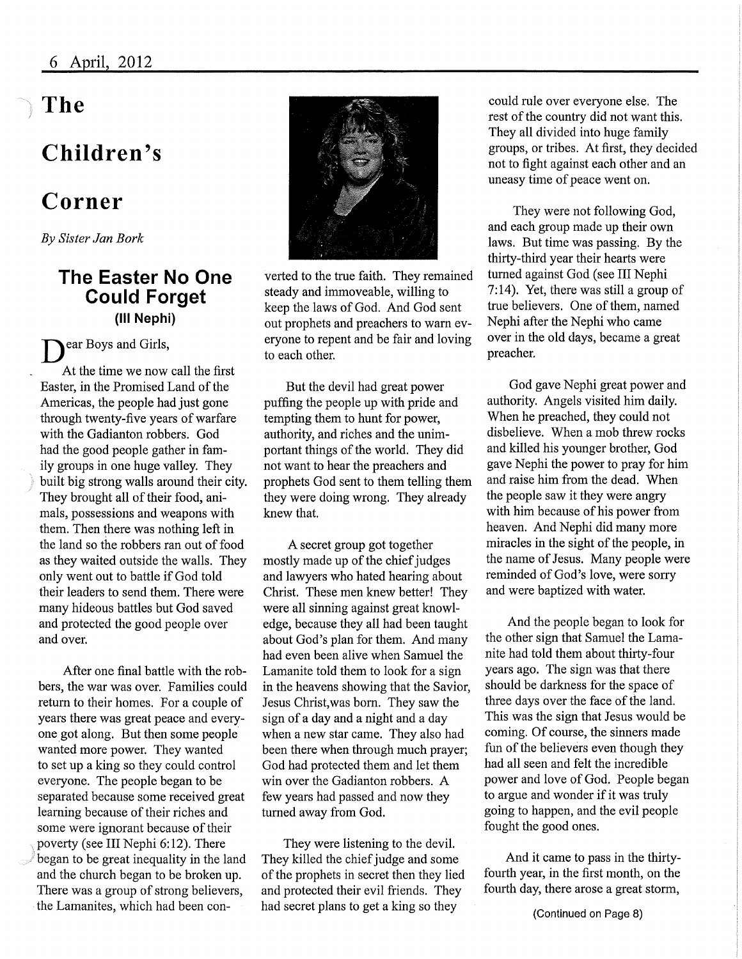# The

# Children's

# Corner

By Sister Jan Bork

## The Easter No One Could Forget (Ill Nephi)

D ear Boys and Girls,

At the time we now call the first Easter, in the Promised Land of the Americas, the people had just gone through twenty-five years of warfare with the Gadianton robbers. God had the good people gather in family groups in one huge valley. They built big strong walls around their city. They brought all of their food, animals, possessions and weapons with them. Then there was nothing left in the land so the robbers ran out of food as they waited outside the walls. They only went out to battle if God told their leaders to send them. There were many hideous battles but God saved and protected the good people over and over.

After one final battle with the robbers, the war was over. Families could return to their homes. For a couple of years there was great peace and everyone got along. But then some people wanted more power. They wanted to set up a king so they could control everyone. The people began to be separated because some received great learning because of their riches and some were ignorant because of their poverty (see III Nephi 6:12). There began to be great inequality in the land and the church began to be broken up. There was a group of strong believers, the Lamanites, which had been con-



verted to the true faith. They remained steady and immoveable, willing to keep the laws of God. And God sent out prophets and preachers to warn everyone to repent and be fair and loving to each other.

But the devil had great power puffing the people up with pride and tempting them to hunt for power, authority, and riches and the unimportant things of the world. They did not want to hear the preachers and prophets God sent to them telling them they were doing wrong. They already knew that.

A secret group got together mostly made up of the chief judges and lawyers who hated hearing about Christ. These men knew better! They were all sinning against great knowledge, because they all had been taught about God's plan for them. And many had even been alive when Samuel the Lamanite told them to look for a sign in the heavens showing that the Savior, Jesus Christ,was born. They saw the sign of a day and a night and a day when a new star came. They also had been there when through much prayer; God had protected them and let them win over the Gadianton robbers. A few years had passed and now they turned away from God.

They were listening to the devil. They killed the chief judge and some of the prophets in secret then they lied and protected their evil friends. They had secret plans to get a king so they

could rule over everyone else. The rest of the country did not want this. They all divided into huge family groups, or tribes. At first, they decided not to fight against each other and an uneasy time of peace went on.

They were not following God, and each group made up their own laws. But time was passing. By the thirty-third year their hearts were turned against God (see III Nephi 7:14). Yet, there was still a group of true believers. One of them, named Nephi after the Nephi who came over in the old days, became a great preacher.

God gave Nephi great power and authority. Angels visited him daily. When he preached, they could not disbelieve. When a mob threw rocks and killed his younger brother, God gave Nephi the power to pray for him and raise him from the dead. When the people saw it they were angry with him because of his power from heaven. And Nephi did many more miracles in the sight of the people, in the name of Jesus. Many people were reminded of God's love, were sorry and were baptized with water.

And the people began to look for the other sign that Samuel the Lamanite had told them about thirty-four years ago. The sign was that there should be darkness for the space of three days over the face of the land. This was the sign that Jesus would be coming. Of course, the sinners made fun of the believers even though they had all seen and felt the incredible power and love of God. People began to argue and wonder if it was truly going to happen, and the evil people fought the good ones.

And it came to pass in the thirtyfourth year, in the first month, on the fourth day, there arose a great storm,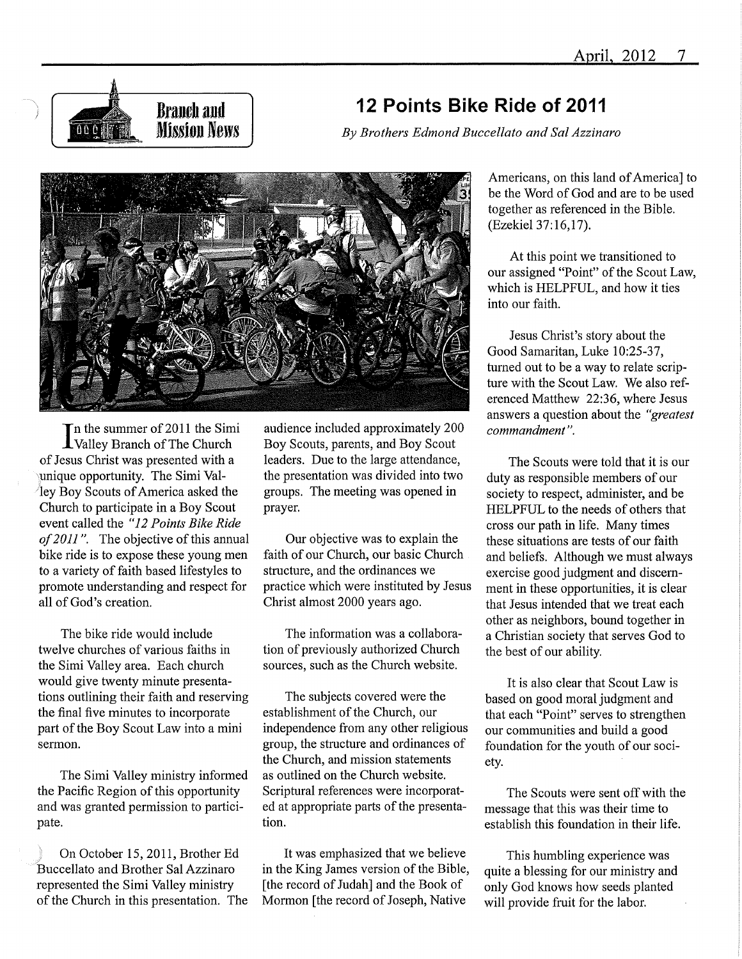

## 12 Points Bike Ride of 2011

By Brothers Edmond Buccellato and Sal Azzinaro



'n the summer of 2011 the Simi -Valley Branch of The Church of Jesus Christ was presented with a unique opportunity. The Simi Valley Boy Scouts of America asked the Church to participate in a Boy Scout event called the "12 Points Bike Ride of 2011". The objective of this annual bike ride is to expose these young men to a variety of faith based lifestyles to promote understanding and respect for all of God's creation.

The bike ride would include twelve churches of various faiths in the Simi Valley area. Each church would give twenty minute presentations outlining their faith and reserving the final five minutes to incorporate part of the Boy Scout Law into a mini sermon.

The Simi Valley ministry informed the Pacific Region of this opportunity and was granted permission to participate.

On October 15, 2011, Brother Ed Buccellato and Brother Sal Azzinaro represented the Simi Valley ministry of the Church in this presentation. The

audience included approximately 200 Boy Scouts, parents, and Boy Scout leaders. Due to the large attendance, the presentation was divided into two groups. The meeting was opened in prayer.

Our objective was to explain the faith of our Church, our basic Church structure, and the ordinances we practice which were instituted by Jesus Christ almost 2000 years ago.

The information was a collaboration of previously authorized Church sources, such as the Church website.

The subjects covered were the establishment of the Church, our independence from any other religious group, the structure and ordinances of the Church, and mission statements as outlined on the Church website. Scriptural references were incorporated at appropriate parts of the presentation.

It was emphasized that we believe in the King James version of the Bible, [the record of Judah] and the Book of Mormon [the record of Joseph, Native

Americans, on this land of America] to be the Word of God and are to be used together as referenced in the Bible. (Ezekiel 37:16,17).

At this point we transitioned to our assigned "Point" of the Scout Law, which is HELPFUL, and how it ties into our faith.

Jesus Christ's story about the Good Samaritan, Luke 10:25-37, turned out to be a way to relate scripture with the Scout Law. We also referenced Matthew 22:36, where Jesus answers a question about the "greatest" commandment".

The Scouts were told that it is our duty as responsible members of our society to respect, administer, and be HELPFUL to the needs of others that cross our path in life. Many times these situations are tests of our faith and beliefs. Although we must always exercise good judgment and discemment in these opportunities, it is clear that Jesus intended that we treat each other as neighbors, bound together in a Christian society that serves God to the best of our ability.

It is also clear that Scout Law is based on good moral judgment and that each "Point" serves to strengthen our communities and build a good foundation for the youth of our society.

The Scouts were sent off with the message that this was their time to establish this foundation in their life.

This humbling experience was quite a blessing for our ministry and only God knows how seeds planted will provide fruit for the labor.